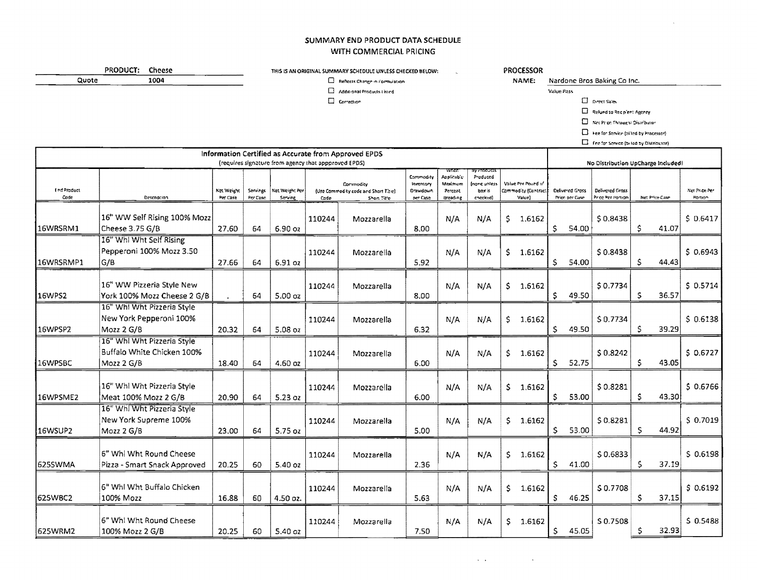## SUMMARY END PRODUCT DATA SCHEDULE WITH COMMERCIAL PRICING

#### **PROCESSOR**

NAME: Nardone Bros Baking Co Inc. Value Pass

**E** Reflects Change in Formulation  $\square$  Additional Products Listed

 $\Box$  Correction

THIS IS AN ORIGINAL SUMMARY SCHEDULE UNLESS CHECKED BELOW:

PRODUCT: Cheese

Quote

 $1004$ 

 $\Box$  Direct Sales

Refund to Recipient Agency

Net Prize Thought Distributor

D Hee for Service (trilled by Processor)

Fee for Service (b) led by Distributor)

| Information Certified as Accurate from Approved EPDS<br>(requires signature from agency that appproved EPDS). |                                                                        |                        |                      |                           |        |                                                                  |                                                |                                              |                                                 |     |                                                      | No Distribution UpCharge Included! |                                    |                                      |    |                |                          |  |
|---------------------------------------------------------------------------------------------------------------|------------------------------------------------------------------------|------------------------|----------------------|---------------------------|--------|------------------------------------------------------------------|------------------------------------------------|----------------------------------------------|-------------------------------------------------|-----|------------------------------------------------------|------------------------------------|------------------------------------|--------------------------------------|----|----------------|--------------------------|--|
| <b>End Product</b><br>Code                                                                                    | Description                                                            | Net Weight<br>Per Case | Servings<br>Per Case | Net Weight Per<br>Serving | Cade   | Commodity<br>(Use Commodity code and Short Title)<br>Short Title | Commodity<br>Inventory<br>Drawdown<br>per Case | Anplicable<br>Maximum<br>Percent<br>Breading | Produced<br>(none uniess<br>box is<br>checkted) |     | Value Prit Pound in<br>Commodity (Contract<br>Value) |                                    | Celivered Gross<br>Priori per Case | Delivered Gross<br>Price Per Portion |    | Not Price Case | Net Price Per<br>Portion |  |
| 16WRSRM1                                                                                                      | 16" WW Self Rising 100% Mozz<br>Cheese 3.75 G/B                        | 27.60                  | 64                   | $6.90$ $oz$               | 110244 | Mozzarella                                                       | 8.00                                           | N/A                                          | N/A                                             | \$  | 1.6162                                               | \$                                 | 54.00                              | \$0,8438                             | Ś  | 41.07          | 50.6417                  |  |
| 16WRSRMP1                                                                                                     | 16" Whi Wht Self Rising<br>Pepperoni 100% Mozz 3.50<br>G/B             | 27.66                  | 64                   | 6.91 oz                   | 110244 | Mozzarella                                                       | 5.92                                           | N/A                                          | N/A                                             | \$  | 1.6162                                               | $\mathsf{S}$                       | 54.00                              | \$0.8438                             | Ŝ  | 44.43          | 50.6943                  |  |
| 16WPS2                                                                                                        | 16" WW Pizzeria Style New<br>York 100% Mozz Cheese 2 G/B               |                        | 64                   | 5.00 oz                   | 110244 | Mozzarella                                                       | 8.00                                           | N/A                                          | N/A                                             | \$  | 1.6162                                               | \$                                 | 49.50                              | \$0.7734                             | s  | 36.57          | \$0.5714                 |  |
| 16WPSP2                                                                                                       | 16" Whi Wht Pizzeria Style<br>New York Pepperoni 100%<br>Mozz 2 G/B    | 20.32                  | 64                   | 5.08 oz                   | 110244 | Mozzarella                                                       | 6.32                                           | N/A                                          | N/A                                             | \$  | 1.6162                                               | S.                                 | 49.50                              | \$0.7734                             | Ŝ  | 39.29          | \$0.6138                 |  |
| 16WPSBC                                                                                                       | 16" Whi Wht Pizzeria Style<br>Buffalo White Chicken 100%<br>Mozz 2 G/B | 18.40                  | 64                   | 4.60 oz                   | 110244 | Mozzarella                                                       | 6.00                                           | N/A                                          | N/A                                             | \$  | 1.6162                                               | S.                                 | 52.75                              | \$0.8242                             | Ś  | 43.05          | \$0.6727                 |  |
| 16WPSME2                                                                                                      | 16" Whl Wht Pizzeria Style<br>Meat 100% Mozz 2 G/B                     | 20,90                  | 64                   | 5.23 oz                   | 110244 | Mozzarella                                                       | 6.00                                           | N/A                                          | N/A                                             | \$  | 1,6162                                               | S.                                 | 53.00                              | \$0.8281                             | Ŝ  | 43.30          | 50.6766                  |  |
| 16WSUP2                                                                                                       | 16" Whi Wht Pizzeria Style<br>New York Supreme 100%<br>Mozz 2 G/B      | 23.00                  | 64                   | $5.75$ oz                 | 110244 | Mozzarella                                                       | 5.00                                           | N/A                                          | N/A                                             | \$  | 1.6162                                               | S.                                 | 53.00                              | \$0.8281                             | S  | 44.92          | \$0.7019                 |  |
| l625SWMA                                                                                                      | 6" Whi Wht Round Cheese<br>Pizza - Smart Snack Approved                | 20.25                  | 60                   | 5.40 oz                   | 110244 | Mozzarella                                                       | 2.36                                           | N/A                                          | N/A                                             | \$  | 1,6162                                               | S.                                 | 41.00                              | \$0.6833                             | Ŝ  | 37.19          | \$ 0.6198                |  |
| 625WBC2                                                                                                       | 6" Whl Wht Buffalo Chicken<br>100% Mozz                                | 16.88                  | 60                   | 4.50 oz.                  | 110244 | Mozzarella                                                       | 5.63                                           | N/A                                          | N/A                                             | \$  | 1.6162                                               | s                                  | 46.25                              | \$0.7708                             | S. | 37.15          | $S$ 0.6192               |  |
| 625WRM2                                                                                                       | 6" Whi Wht Round Cheese<br>100% Mozz 2 G/B                             | 20.25                  | 60                   | 5.40 oz                   | 110244 | Mozzarella                                                       | 7.50                                           | N/A                                          | N/A                                             | \$. | 1.6162                                               | \$                                 | 45.05                              | \$0.7508                             | Ŝ  | 32.93          | \$0.5488                 |  |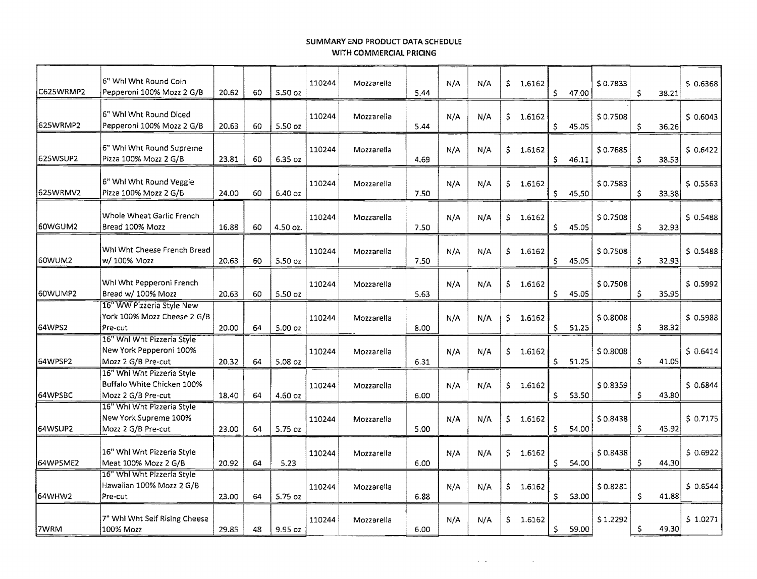### SUMMARY **END** PRODUCT DATA SCHEDULE WITH COMMERCIAL PRICING

| C625WRMP2 | 6" Whi Wht Round Coin<br>Pepperoni 100% Mozz 2 G/B                             | 20.62 | 60 | 5.50 oz   | 110244 | Mozzarella | 5.44 | N/A | N/A | \$  | 1.6162   | \$           | 47.00 | \$0.7833 | \$           | 38.21 | $S$ 0.6368 |
|-----------|--------------------------------------------------------------------------------|-------|----|-----------|--------|------------|------|-----|-----|-----|----------|--------------|-------|----------|--------------|-------|------------|
| 625WRMP2  | 6" Whl Wht Round Diced<br>Pepperoni 100% Mozz 2 G/B                            | 20.63 | 60 | 5.50 oz   | 110244 | Mozzarella | 5.44 | N/A | N/A | \$. | 1.6162   | \$           | 45.05 | \$0.7508 | \$           | 36.26 | \$0.6043   |
| 625WSUP2  | 6" Whi Wht Round Supreme<br>Pizza 100% Mozz 2 G/B                              | 23.81 | 60 | 6.35 oz   | 110244 | Mozzarella | 4.69 | N/A | N/A | \$. | 1.6162   | \$           | 46.11 | \$0.7685 | \$           | 38.53 | \$0.6422   |
| 625WRMV2  | 6" Whi Wht Round Veggie<br>Pizza 100% Mozz 2 G/B                               | 24.00 | 60 | 6.40 oz   | 110244 | Mozzarella | 7.50 | N/A | N/A | \$  | 1.6162   | \$           | 45.50 | \$0.7583 | \$           | 33.38 | $S$ 0.5563 |
| 60WGUM2   | Whole Wheat Garlic French<br>Bread 100% Mozz                                   | 16.88 | 60 | 4.50 oz.  | 110244 | Mozzarella | 7.50 | N/A | N/A | \$  | 1.6162   | \$           | 45.05 | \$0.7508 | \$           | 32,93 | \$0.5488   |
| 160WUM2   | Whi Wht Cheese French Bread<br>w/ 100% Mozz                                    | 20.63 | 60 | 5.50 oz   | 110244 | Mozzarella | 7.50 | N/A | N/A | \$  | 1.6162   | \$           | 45.05 | \$0.7508 | \$           | 32.93 | $S$ 0.5488 |
| I60WUMP2  | Whi Wht Pepperoni French<br>Bread w/ 100% Mozz                                 | 20.63 | 60 | $5.50$ oz | 110244 | Mozzarella | 5.63 | N/A | N/A | \$  | 1,6162   | Ŝ.           | 45.05 | \$0.7508 | Ś.           | 35.95 | \$0.5992   |
| 164WPS2   | 16" WW Pizzeria Style New<br>York 100% Mozz Cheese 2 G/B<br>Pre-cut            | 20.00 | 64 | 5.00 oz   | 110244 | Mozzarella | 8.00 | N/A | N/A | S.  | 1.6162   | \$           | 51.25 | \$0.8008 | \$           | 38.32 | \$0.5988   |
| 64WPSP2   | 16" Whl Wht Pizzeria Style<br>New York Pepperoni 100%<br>Mozz 2 G/B Pre-cut    | 20.32 | 64 | 5.08 oz   | 110244 | Mozzarella | 6.31 | N/A | N/A | \$. | 1.6162   | $\mathsf{S}$ | 51.25 | \$0.8008 | \$           | 41.05 | 50.6414    |
| 64WPSBC   | 16" Whi Wht Pizzeria Style<br>Buffalo White Chicken 100%<br>Mozz 2 G/B Pre-cut | 18.40 | 64 | 4.60 oz   | 110244 | Mozzarella | 6.00 | N/A | N/A | \$  | 1.6162   | Ŝ.           | 53.50 | \$0.8359 | $\mathsf{S}$ | 43.80 | \$0.6844   |
| 64WSUP2   | 16" Whi Wht Pizzeria Style<br>New York Supreme 100%<br>Mozz 2 G/B Pre-cut      | 23.00 | 64 | 5.75 oz   | 110244 | Mozzarella | 5.00 | N/A | N/A | \$. | 1.6162   | \$           | 54.00 | \$0.8438 | $\mathsf S$  | 45.92 | 50.7175    |
| 64WPSME2  | 16" Whi Wht Pizzeria Style<br>Meat 100% Mozz 2 G/B                             | 20.92 | 64 | 5.23      | 110244 | Mozzarella | 6.00 | N/A | N/A | Ś.  | 1.6162   | \$           | 54.00 | \$0.8438 | \$           | 44.30 | \$0.6922   |
| 164WHW2   | 16" Whi Wht Pizzeria Style<br>Hawaiian 100% Mozz 2 G/B<br>Pre-cut              | 23.00 | 64 | 5.75 oz   | 110244 | Mozzarella | 6.88 | N/A | N/A |     | \$1.6162 | \$           | 53,00 | \$0.8281 | Ŝ.           | 41.88 | $S$ 0.6544 |
| 7WRM      | 7" Whi Wht Self Rising Cheese<br>100% Mozz                                     | 29.85 | 48 | 9.95 oz   | 110244 | Mozzarella | 6.00 | N/A | N/A | \$  | 1.6162   | \$           | 59.00 | \$1.2292 | \$           | 49.30 | 5 1.0271   |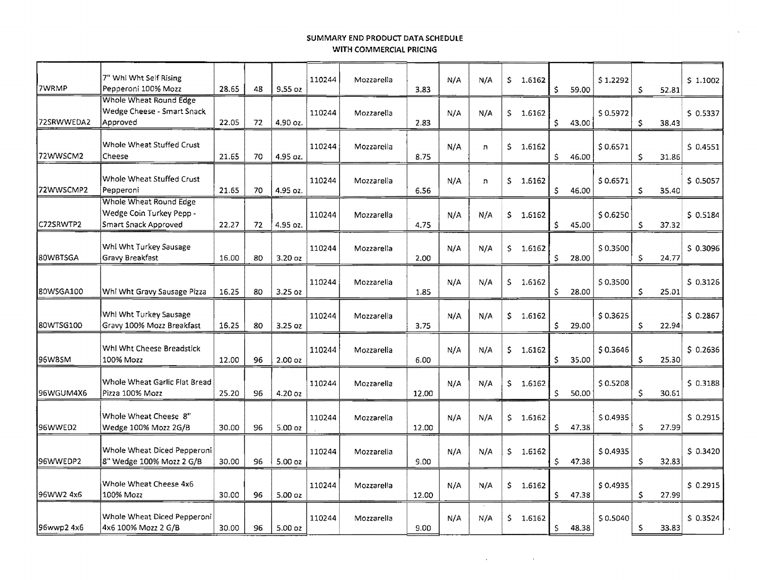# **SUMMARY END PRODUCT** DATA SCHEDULE **WITH COMMERCIAL PRICING**

| 7" Whi Wht Self Rising<br>Pepperoni 100% Mozz           | 28.65                                            | 48 | 9.55 oz            | 110244 | Mozzarella | 3.83  | N/A | N/A | S.  |        | \$     | 59.00 | \$1.2292 | Ŝ  | 52.81 | \$1.1002   |
|---------------------------------------------------------|--------------------------------------------------|----|--------------------|--------|------------|-------|-----|-----|-----|--------|--------|-------|----------|----|-------|------------|
| Wedge Cheese - Smart Snack<br>Approved                  | 22.05                                            | 72 | 4.90 oz.           | 110244 | Mozzarella | 2.83  | N/A | N/A | S.  | 1.6162 | \$     | 43,00 | \$0.5972 | \$ | 38.43 | $S$ 0.5337 |
| Whole Wheat Stuffed Crust<br>Cheese                     | 21.65                                            | 70 | 4.95 oz.           | 110244 | Mozzarella | 8.75  | N/A | n   | Ŝ.  | 1.6162 | Š.     | 46.00 | \$0,6571 | \$ | 31.86 | $S$ 0.4551 |
| Whole Wheat Stuffed Crust<br>Pepperoni                  | 21.65                                            | 70 | 4.95 oz.           | 110244 | Mozzarella | 6.56  | N/A | n   | S.  | 1.6162 | Ŝ.     | 46.00 | \$0.6571 | \$ | 35.40 | \$0.5057   |
| Wedge Coin Turkey Pepp -<br>Smart Snack Approved        | 22.27                                            | 72 | 4.95 oz.           | 110244 | Mozzarella | 4.75  | N/A | N/A | S.  | 1.6162 | S.     | 45.00 | \$0.6250 | \$ | 37.32 | \$0.5184   |
| Whi Wht Turkey Sausage<br>Gravy Breakfast               | 16.00                                            | 80 | $3.20$ oz          | 110244 | Mozzarella | 2.00  | N/A | N/A | \$  | 1.6162 | S.     | 28.00 | \$0.3500 | Ś  | 24,77 | \$0.3096   |
| Whi Wht Gravy Sausage Pizza                             | 16.25                                            | 80 | $3.25$ oz          | 110244 | Mozzarella | 1.85  | N/A | N/A | \$  | 1.6162 | Ś.     | 28.00 | \$0.3500 | \$ | 25.01 | 50.3126    |
| Whi Wht Turkey Sausage<br>Gravy 100% Mozz Breakfast     | 16.25                                            | 80 | $3.25$ oz          | 110244 | Mozzarella | 3,75  | N/A | N/A | \$. | 1.6162 | \$     | 29.00 | \$0.3625 | \$ | 22.94 | \$0.2867   |
| Whl Wht Cheese Breadstick<br>100% Mozz                  | 12.00                                            | 96 | 2.00 oz            | 110244 | Mozzarella | 6.00  | N/A | N/A | \$. | 1.6162 | Š.     | 35.00 | \$0.3646 | Ŝ  | 25.30 | \$0.2636   |
| Whole Wheat Garlic Flat Bread<br>Pizza 100% Mozz        | 25.20                                            | 96 | 4.20 oz            | 110244 | Mozzarella | 12.00 | N/A | N/A | S.  | 1.6162 | S.     | 50.00 | \$0.5208 | \$ | 30.61 | \$0.3188   |
| Whole Wheat Cheese 8"<br>Wedge 100% Mozz 2G/B           | 30,00                                            | 96 | 5.00 oz            | 110244 | Mozzarella | 12.00 | N/A | N/A | \$. | 1,6162 | \$     | 47.38 | \$0.4935 | \$ | 27.99 | \$ 0.2915  |
| Whole Wheat Diced Pepperoni<br>8" Wedge 100% Mozz 2 G/B | 30.00                                            | 96 | 5.00 <sub>oz</sub> | 110244 | Mozzarella | 9.00  | N/A | N/A | \$  | 1.6162 | \$     | 47.38 | \$0,4935 | \$ | 32.83 | \$0.3420   |
| Whole Wheat Cheese 4x6<br>100% Mozz                     | 30.00                                            | 96 | 5.00 oz            | 110244 | Mozzarella | 12.00 | N/A | N/A | \$. | 1.6162 | Ś.     | 47.38 | \$0.4935 | \$ | 27.99 | $S$ 0.2915 |
| Whole Wheat Diced Pepperoni<br>4x6 100% Mozz 2 G/B      | 30.00                                            | 96 | 5.00 oz            | 110244 | Mozzarella | 9.00  | N/A | N/A | S.  | 1,6162 | \$     | 48.38 | \$0.5040 | S  | 33.83 | \$0.3524   |
|                                                         | Whole Wheat Round Edge<br>Whole Wheat Round Edge |    |                    |        |            |       |     |     |     |        | 1.6162 |       |          |    |       |            |

 $\overline{a}$